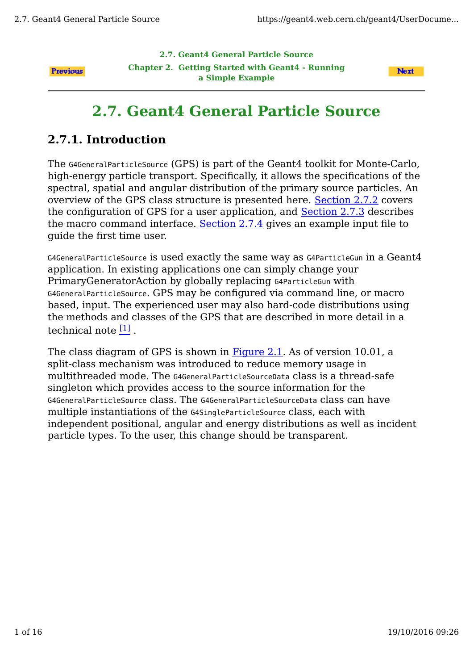**2.7. Geant4 General Particle Source**

**Previous** 

**Chapter 2. Getting Started with Geant4 - Running a Simple Example**



# **2.7. Geant4 General Particle Source**

# **2.7.1. Introduction**

The G4GeneralParticleSource (GPS) is part of the Geant4 toolkit for Monte-Carlo, high-energy particle transport. Specifically, it allows the specifications of the spectral, spatial and angular distribution of the primary source particles. An overview of the GPS class structure is presented here. Section 2.7.2 covers the configuration of GPS for a user application, and Section 2.7.3 describes the macro command interface. Section 2.7.4 gives an example input file to guide the first time user.

G4GeneralParticleSource is used exactly the same way as G4ParticleGun in a Geant4 application. In existing applications one can simply change your PrimaryGeneratorAction by globally replacing G4ParticleGun with G4GeneralParticleSource. GPS may be configured via command line, or macro based, input. The experienced user may also hard-code distributions using the methods and classes of the GPS that are described in more detail in a technical note [1] .

The class diagram of GPS is shown in **Figure 2.1**. As of version 10.01, a split-class mechanism was introduced to reduce memory usage in multithreaded mode. The G4GeneralParticleSourceData class is a thread-safe singleton which provides access to the source information for the G4GeneralParticleSource class. The G4GeneralParticleSourceData class can have multiple instantiations of the G4SingleParticleSource class, each with independent positional, angular and energy distributions as well as incident particle types. To the user, this change should be transparent.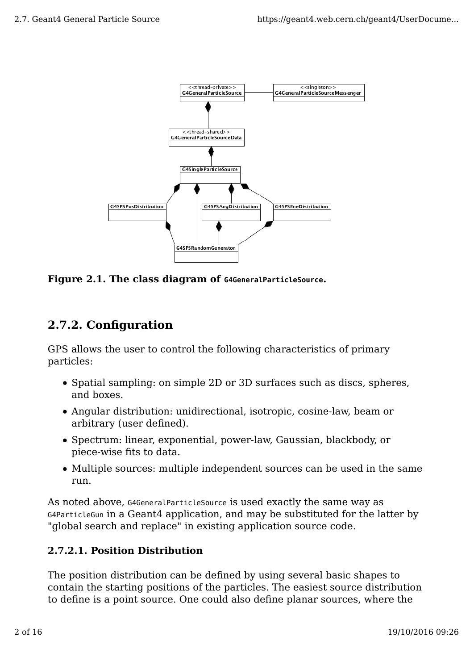

**Figure 2.1. The class diagram of G4GeneralParticleSource.**

# **2.7.2. Configuration**

GPS allows the user to control the following characteristics of primary particles:

- Spatial sampling: on simple 2D or 3D surfaces such as discs, spheres, and boxes.
- Angular distribution: unidirectional, isotropic, cosine-law, beam or arbitrary (user defined).
- Spectrum: linear, exponential, power-law, Gaussian, blackbody, or piece-wise fits to data.
- Multiple sources: multiple independent sources can be used in the same run.

As noted above, G4GeneralParticleSource is used exactly the same way as G4ParticleGun in a Geant4 application, and may be substituted for the latter by "global search and replace" in existing application source code.

### **2.7.2.1. Position Distribution**

The position distribution can be defined by using several basic shapes to contain the starting positions of the particles. The easiest source distribution to define is a point source. One could also define planar sources, where the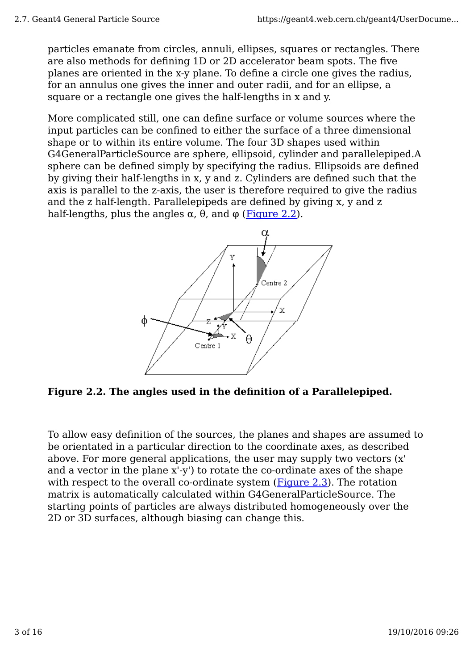particles emanate from circles, annuli, ellipses, squares or rectangles. There are also methods for defining 1D or 2D accelerator beam spots. The five planes are oriented in the x-y plane. To define a circle one gives the radius, for an annulus one gives the inner and outer radii, and for an ellipse, a square or a rectangle one gives the half-lengths in x and y.

More complicated still, one can define surface or volume sources where the input particles can be confined to either the surface of a three dimensional shape or to within its entire volume. The four 3D shapes used within G4GeneralParticleSource are sphere, ellipsoid, cylinder and parallelepiped.A sphere can be defined simply by specifying the radius. Ellipsoids are defined by giving their half-lengths in x, y and z. Cylinders are defined such that the axis is parallel to the z-axis, the user is therefore required to give the radius and the z half-length. Parallelepipeds are defined by giving x, y and z half-lengths, plus the angles  $\alpha$ ,  $\theta$ , and  $\varphi$  (Figure 2.2).



**Figure 2.2. The angles used in the definition of a Parallelepiped.**

To allow easy definition of the sources, the planes and shapes are assumed to be orientated in a particular direction to the coordinate axes, as described above. For more general applications, the user may supply two vectors (x' and a vector in the plane x'-y') to rotate the co-ordinate axes of the shape with respect to the overall co-ordinate system  $(Figure 2.3)$ . The rotation matrix is automatically calculated within G4GeneralParticleSource. The starting points of particles are always distributed homogeneously over the 2D or 3D surfaces, although biasing can change this.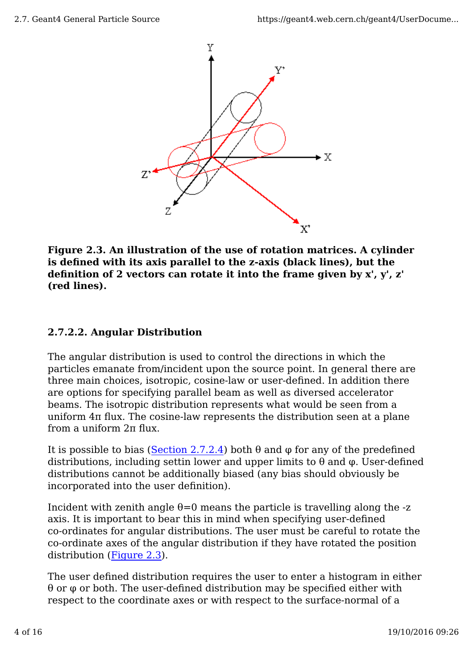

**Figure 2.3. An illustration of the use of rotation matrices. A cylinder is defined with its axis parallel to the z-axis (black lines), but the definition of 2 vectors can rotate it into the frame given by x', y', z' (red lines).**

### **2.7.2.2. Angular Distribution**

The angular distribution is used to control the directions in which the particles emanate from/incident upon the source point. In general there are three main choices, isotropic, cosine-law or user-defined. In addition there are options for specifying parallel beam as well as diversed accelerator beams. The isotropic distribution represents what would be seen from a uniform 4π flux. The cosine-law represents the distribution seen at a plane from a uniform 2π flux.

It is possible to bias (Section 2.7.2.4) both θ and φ for any of the predefined distributions, including settin lower and upper limits to  $\theta$  and  $\varphi$ . User-defined distributions cannot be additionally biased (any bias should obviously be incorporated into the user definition).

Incident with zenith angle  $\theta$ =0 means the particle is travelling along the -z axis. It is important to bear this in mind when specifying user-defined co-ordinates for angular distributions. The user must be careful to rotate the co-ordinate axes of the angular distribution if they have rotated the position distribution (Figure 2.3).

The user defined distribution requires the user to enter a histogram in either  $\theta$  or  $\varphi$  or both. The user-defined distribution may be specified either with respect to the coordinate axes or with respect to the surface-normal of a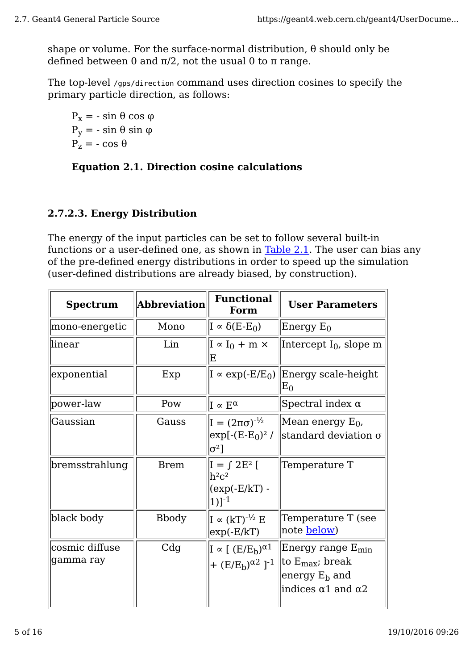shape or volume. For the surface-normal distribution,  $\theta$  should only be defined between 0 and  $π/2$ , not the usual 0 to π range.

The top-level /gps/direction command uses direction cosines to specify the primary particle direction, as follows:

 $P_x$  = - sin θ cos φ  $P<sub>v</sub>$  = - sin θ sin φ  $P_z = -\cos\theta$ 

#### **Equation 2.1. Direction cosine calculations**

#### **2.7.2.3. Energy Distribution**

The energy of the input particles can be set to follow several built-in functions or a user-defined one, as shown in Table 2.1. The user can bias any of the pre-defined energy distributions in order to speed up the simulation (user-defined distributions are already biased, by construction).

| <b>Spectrum</b>             | <b>Abbreviation</b> | <b>Functional</b><br>Form                                                        | <b>User Parameters</b>                                                                                         |  |
|-----------------------------|---------------------|----------------------------------------------------------------------------------|----------------------------------------------------------------------------------------------------------------|--|
| mono-energetic              | Mono                | $I \propto \delta(E-E_0)$                                                        | Energy $E_0$                                                                                                   |  |
| linear                      | Lin                 | $I \propto I_0 + m \times$<br>Ε                                                  | Intercept $I_0$ , slope m                                                                                      |  |
| exponential                 | Exp                 | $I \propto \exp(-E/E_0)$                                                         | Energy scale-height<br>$E_0$                                                                                   |  |
| power-law                   | Pow                 | $I \propto E^{\alpha}$                                                           | Spectral index $\alpha$                                                                                        |  |
| Gaussian                    | Gauss               | $I = (2\pi\sigma)^{-1/2}$<br>$\exp[-(E-E_0)^2]$<br>$ \sigma^2 $                  | Mean energy $E_0$ ,<br>standard deviation $\sigma$                                                             |  |
| bremsstrahlung              | <b>Brem</b>         | $I = \int 2E^2$ [<br>$\rm{h}^2\rm{c}^2$<br>$(exp(-E/kT) -$<br>$1)$ <sup>-1</sup> | Temperature T                                                                                                  |  |
| black body                  | <b>B</b> body       | $I \propto (kT)^{-1/2} E$<br>$\exp(-E/kT)$                                       | Temperature T (see<br>note <b>below</b> )                                                                      |  |
| cosmic diffuse<br>gamma ray | C <sub>dg</sub>     | $I \propto [ (E/E_h)^{\alpha} ]$<br>+ $(E/E_h)^{\alpha}$ ] <sup>-1</sup>         | Energy range $E_{min}$<br>to $E_{\text{max}}$ ; break<br>energy $E_b$ and<br>indices $\alpha$ 1 and $\alpha$ 2 |  |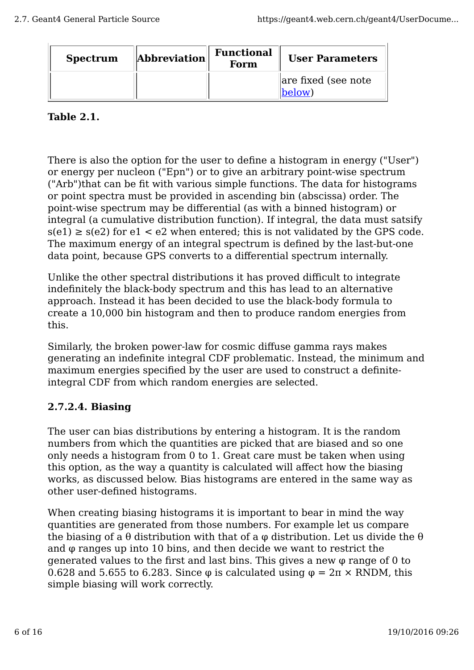| <b>Spectrum</b> | $\ $ Abbreviation $\ $ | <b>Functional</b><br>Form | <b>User Parameters</b>        |
|-----------------|------------------------|---------------------------|-------------------------------|
|                 |                        |                           | are fixed (see note<br>below) |

#### **Table 2.1.**

There is also the option for the user to define a histogram in energy ("User") or energy per nucleon ("Epn") or to give an arbitrary point-wise spectrum ("Arb")that can be fit with various simple functions. The data for histograms or point spectra must be provided in ascending bin (abscissa) order. The point-wise spectrum may be differential (as with a binned histogram) or integral (a cumulative distribution function). If integral, the data must satsify  $s(e1) \geq s(e2)$  for  $e1 < e2$  when entered; this is not validated by the GPS code. The maximum energy of an integral spectrum is defined by the last-but-one data point, because GPS converts to a differential spectrum internally.

Unlike the other spectral distributions it has proved difficult to integrate indefinitely the black-body spectrum and this has lead to an alternative approach. Instead it has been decided to use the black-body formula to create a 10,000 bin histogram and then to produce random energies from this.

Similarly, the broken power-law for cosmic diffuse gamma rays makes generating an indefinite integral CDF problematic. Instead, the minimum and maximum energies specified by the user are used to construct a definiteintegral CDF from which random energies are selected.

### **2.7.2.4. Biasing**

The user can bias distributions by entering a histogram. It is the random numbers from which the quantities are picked that are biased and so one only needs a histogram from 0 to 1. Great care must be taken when using this option, as the way a quantity is calculated will affect how the biasing works, as discussed below. Bias histograms are entered in the same way as other user-defined histograms.

When creating biasing histograms it is important to bear in mind the way quantities are generated from those numbers. For example let us compare the biasing of a  $\theta$  distribution with that of a  $\varphi$  distribution. Let us divide the  $\theta$ and φ ranges up into 10 bins, and then decide we want to restrict the generated values to the first and last bins. This gives a new φ range of 0 to 0.628 and 5.655 to 6.283. Since  $\varphi$  is calculated using  $\varphi = 2\pi \times \text{RNDM}$ , this simple biasing will work correctly.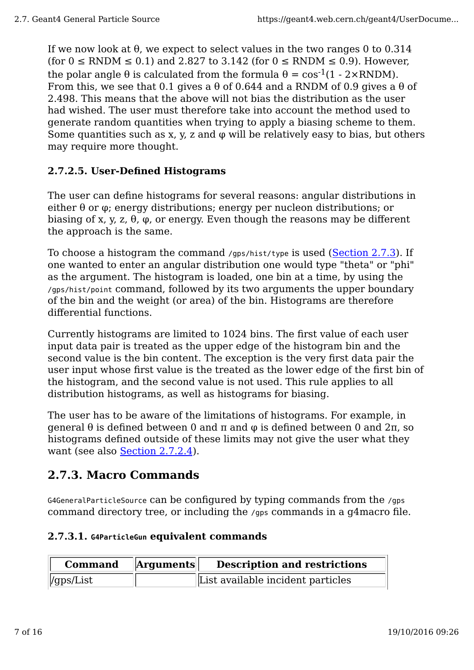If we now look at  $\theta$ , we expect to select values in the two ranges 0 to 0.314 (for  $0 \leq RNDM \leq 0.1$ ) and 2.827 to 3.142 (for  $0 \leq RNDM \leq 0.9$ ). However, the polar angle  $\theta$  is calculated from the formula  $\theta = \cos^{-1}(1 - 2 \times \text{RNDM})$ . From this, we see that 0.1 gives a  $\theta$  of 0.644 and a RNDM of 0.9 gives a  $\theta$  of 2.498. This means that the above will not bias the distribution as the user had wished. The user must therefore take into account the method used to generate random quantities when trying to apply a biasing scheme to them. Some quantities such as x, y, z and  $\varphi$  will be relatively easy to bias, but others may require more thought.

### **2.7.2.5. User-Defined Histograms**

The user can define histograms for several reasons: angular distributions in either θ or φ; energy distributions; energy per nucleon distributions; or biasing of x, y, z, θ,  $\varphi$ , or energy. Even though the reasons may be different the approach is the same.

To choose a histogram the command /gps/hist/type is used (Section 2.7.3). If one wanted to enter an angular distribution one would type "theta" or "phi" as the argument. The histogram is loaded, one bin at a time, by using the /gps/hist/point command, followed by its two arguments the upper boundary of the bin and the weight (or area) of the bin. Histograms are therefore differential functions.

Currently histograms are limited to 1024 bins. The first value of each user input data pair is treated as the upper edge of the histogram bin and the second value is the bin content. The exception is the very first data pair the user input whose first value is the treated as the lower edge of the first bin of the histogram, and the second value is not used. This rule applies to all distribution histograms, as well as histograms for biasing.

The user has to be aware of the limitations of histograms. For example, in general θ is defined between 0 and π and φ is defined between 0 and 2π, so histograms defined outside of these limits may not give the user what they want (see also <u>Section 2.7.2.4</u>).

# **2.7.3. Macro Commands**

G4GeneralParticleSource can be configured by typing commands from the /gps command directory tree, or including the /gps commands in a g4macro file.

#### **2.7.3.1. G4ParticleGun equivalent commands**

| <b>Command</b> | $\ $ Arguments $\ $ | <b>Description and restrictions</b> |
|----------------|---------------------|-------------------------------------|
| $\ $ /gps/List |                     | List available incident particles   |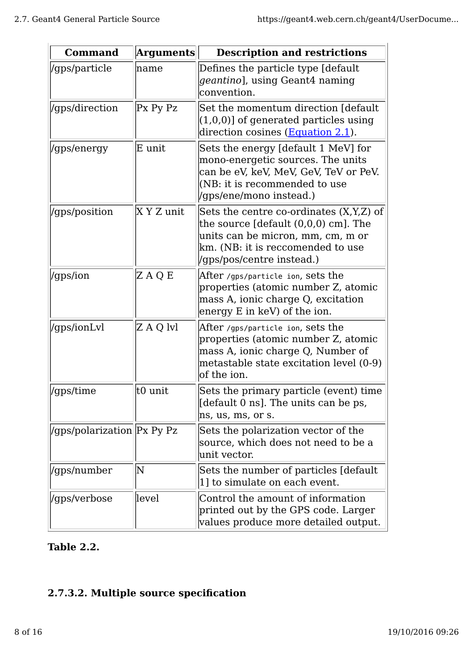| <b>Command</b>              | <b>Arguments</b>      | <b>Description and restrictions</b>                                                                                                                                                                                  |
|-----------------------------|-----------------------|----------------------------------------------------------------------------------------------------------------------------------------------------------------------------------------------------------------------|
| /gps/particle               | name                  | Defines the particle type [default]<br>geantino], using Geant4 naming<br>convention.                                                                                                                                 |
| /gps/direction              | Px Py Pz              | Set the momentum direction [default]<br>$(1,0,0)$ ] of generated particles using<br>direction cosines (Equation 2.1).                                                                                                |
| /gps/energy                 | E unit                | Sets the energy [default 1 MeV] for<br>mono-energetic sources. The units<br>can be eV, keV, MeV, GeV, TeV or PeV.<br>(NB: it is recommended to use<br>//gps/ene/mono instead.)                                       |
| /gps/position               | X Y Z unit            | Sets the centre co-ordinates (X,Y,Z) of<br>the source $[default (0,0,0) cm]$ . The<br>units can be micron, mm, cm, m or<br>km. (NB: it is reccomended to use<br>//gps/pos/centre instead.)                           |
| /gps/ion                    | ZAQE                  | $  \mathop{\rm After}{\it \,}$ /gps/particle ion, S $\mathop{\rm est}{\rm sh}{\rm e}$<br>properties (atomic number Z, atomic<br>mass A, ionic charge Q, excitation<br>energy E in keV) of the ion.                   |
| /gps/ionLvl                 | Z A Q lvl             | $ \!\!\operatorname{After }$ /gps/particle ion, S $\!\!\operatorname{ets}$ the<br>properties (atomic number Z, atomic<br>mass A, ionic charge Q, Number of<br>metastable state excitation level (0-9)<br>of the ion. |
| /gps/time                   | t0 unit               | Sets the primary particle (event) time<br>[default 0 ns]. The units can be ps,<br>ns, us, ms, or s.                                                                                                                  |
| /gps/polarization  Px Py Pz |                       | Sets the polarization vector of the<br>source, which does not need to be a<br>unit vector.                                                                                                                           |
| /gps/number                 | $\overline{\text{N}}$ | Sets the number of particles [default]<br>1] to simulate on each event.                                                                                                                                              |
| /gps/verbose                | llevel                | Control the amount of information<br>printed out by the GPS code. Larger<br>values produce more detailed output.                                                                                                     |

### **Table 2.2.**

# **2.7.3.2. Multiple source specification**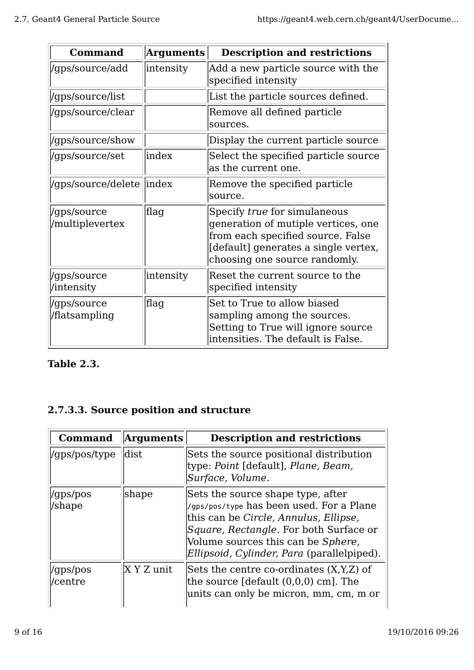| <b>Command</b>                 | $\bm{\mathrm{Arguments}}$ | <b>Description and restrictions</b>                                                                                                                                               |
|--------------------------------|---------------------------|-----------------------------------------------------------------------------------------------------------------------------------------------------------------------------------|
| /gps/source/add                | intensity                 | Add a new particle source with the<br>specified intensity                                                                                                                         |
| /gps/source/list               |                           | List the particle sources defined.                                                                                                                                                |
| /gps/source/clear              |                           | Remove all defined particle<br>sources.                                                                                                                                           |
| /gps/source/show               |                           | Display the current particle source                                                                                                                                               |
| /gps/source/set                | lindex                    | Select the specified particle source<br>as the current one.                                                                                                                       |
| /gps/source/delete   index     |                           | Remove the specified particle<br>source.                                                                                                                                          |
| /gps/source<br>/multiplevertex | flag                      | Specify true for simulaneous<br>generation of mutiple vertices, one<br>from each specified source. False<br>[default] generates a single vertex,<br>choosing one source randomly. |
| /gps/source<br>/intensity      | intensity                 | Reset the current source to the<br>specified intensity                                                                                                                            |
| /gps/source<br>/flatsampling   | flag                      | Set to True to allow biased<br>sampling among the sources.<br>Setting to True will ignore source<br>intensities. The default is False.                                            |

### **Table 2.3.**

# **2.7.3.3. Source position and structure**

| <b>Command</b>       | <b>Arguments</b> | <b>Description and restrictions</b>                                                                                                                                                                                                                         |
|----------------------|------------------|-------------------------------------------------------------------------------------------------------------------------------------------------------------------------------------------------------------------------------------------------------------|
| //gps/pos/type       | dist             | Sets the source positional distribution<br>type: Point [default], Plane, Beam,<br>Surface, Volume.                                                                                                                                                          |
| /gps/pos<br>/shape   | shape            | Sets the source shape type, after<br>/gps/pos/type has been used. For a Plane<br>this can be Circle, Annulus, Ellipse,<br><i>Square, Rectangle.</i> For both Surface or<br>Volume sources this can be Sphere,<br>Ellipsoid, Cylinder, Para (parallelpiped). |
| /gps/pos<br> /centre | $X Y Z$ unit     | Sets the centre co-ordinates $(X,Y,Z)$ of<br>the source $\lceil$ default $(0,0,0)$ cm $\lceil$ . The<br>units can only be micron, mm, cm, m or                                                                                                              |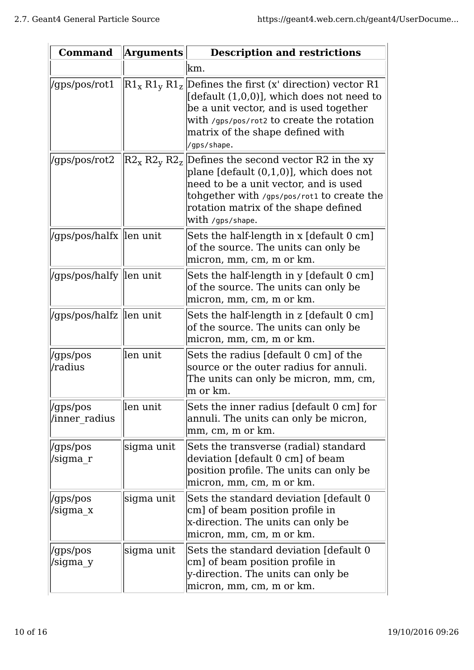| <b>Command</b>            | <b>Arguments</b> | <b>Description and restrictions</b>                                                                                                                                                                                                                                                       |
|---------------------------|------------------|-------------------------------------------------------------------------------------------------------------------------------------------------------------------------------------------------------------------------------------------------------------------------------------------|
|                           |                  | lkm.                                                                                                                                                                                                                                                                                      |
| //gps/pos/rot1            |                  | $\left {\rm R1_{x}}\,{\rm R1_{y}}\,{\rm R1_{z}}\right $ Defines the first (x' direction) vector R1<br>[default (1,0,0)], which does not need to<br>be a unit vector, and is used together<br>with /gps/pos/rot2 to create the rotation<br>matrix of the shape defined with<br>/gps/shape. |
| //gps/pos/rot2            |                  | $ R2_x R2_y R2_z $ Defines the second vector R2 in the xy<br>plane $[default (0,1,0)], which does not$<br>need to be a unit vector, and is used<br>tohgether with /gps/pos/rot1 to create the<br>rotation matrix of the shape defined<br>with /gps/shape.                                 |
| /gps/pos/halfx len unit   |                  | Sets the half-length in x [default 0 cm]<br>of the source. The units can only be<br>micron, mm, cm, m or km.                                                                                                                                                                              |
| //gps/pos/halfy  len unit |                  | Sets the half-length in y [default 0 cm]<br>of the source. The units can only be<br> micron, mm, cm, m or km.                                                                                                                                                                             |
| /gps/pos/halfz   len unit |                  | Sets the half-length in z [default 0 cm]<br>of the source. The units can only be<br>micron, mm, cm, m or km.                                                                                                                                                                              |
| /gps/pos<br>/radius       | llen unit        | Sets the radius [default 0 cm] of the<br>source or the outer radius for annuli.<br>The units can only be micron, mm, cm,<br>m or km.                                                                                                                                                      |
| /gps/pos<br>/inner radius | len unit         | Sets the inner radius [default 0 cm] for<br>annuli. The units can only be micron,<br> mm, cm, m or km.                                                                                                                                                                                    |
| /gps/pos<br>/sigma r      | sigma unit       | Sets the transverse (radial) standard<br>deviation [default 0 cm] of beam<br>position profile. The units can only be<br>micron, mm, cm, m or km.                                                                                                                                          |
| /gps/pos<br>/sigma x      | sigma unit       | Sets the standard deviation [default 0]<br>cm] of beam position profile in<br>x-direction. The units can only be<br> micron, mm, cm, m or km.                                                                                                                                             |
| /gps/pos<br>/sigma y      | sigma unit       | Sets the standard deviation [default 0]<br>cm] of beam position profile in<br>y-direction. The units can only be<br>micron, mm, cm, m or km.                                                                                                                                              |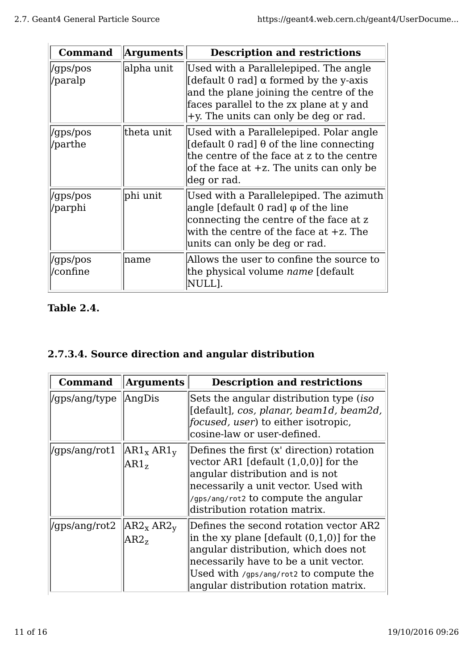| <b>Command</b>       | <b>Arguments</b> | <b>Description and restrictions</b>                                                                                                                                                                                      |
|----------------------|------------------|--------------------------------------------------------------------------------------------------------------------------------------------------------------------------------------------------------------------------|
| /gps/pos<br>/paralp  | alpha unit       | Used with a Parallelepiped. The angle<br>[default 0 rad] $\alpha$ formed by the y-axis<br>and the plane joining the centre of the<br>faces parallel to the zx plane at y and<br>$+y$ . The units can only be deg or rad. |
| /gps/pos<br>/parthe  | theta unit       | Used with a Parallelepiped. Polar angle<br>[default 0 rad] $\theta$ of the line connecting<br>the centre of the face at z to the centre<br>of the face at $+z$ . The units can only be<br> deg or rad.                   |
| /gps/pos<br> /parphi | phi unit         | Used with a Parallelepiped. The azimuth<br>$ angle$ [default 0 rad] $\varphi$ of the line<br>connecting the centre of the face at z<br>with the centre of the face at $+z$ . The<br>units can only be deg or rad.        |
| /gps/pos<br>/confine | name             | Allows the user to confine the source to<br>the physical volume <i>name</i> [default]<br>NULL].                                                                                                                          |

#### **Table 2.4.**

# **2.7.3.4. Source direction and angular distribution**

| <b>Command</b> | <b>Arguments</b>                                      | <b>Description and restrictions</b>                                                                                                                                                                                                                        |
|----------------|-------------------------------------------------------|------------------------------------------------------------------------------------------------------------------------------------------------------------------------------------------------------------------------------------------------------------|
| /gps/ang/type  | AngDis                                                | Sets the angular distribution type (iso<br>[default], cos, planar, beam1d, beam2d,<br><i>focused, user</i> ) to either isotropic,<br>cosine-law or user-defined.                                                                                           |
| /gps/ang/rot1  | $AR1_x AR1_y$<br>AR1 <sub>z</sub>                     | Defines the first (x' direction) rotation<br>vector AR1 [default $(1,0,0)$ ] for the<br>angular distribution and is not<br>necessarily a unit vector. Used with<br>/gps/ang/rot2 to compute the angular<br>distribution rotation matrix.                   |
| /gps/ang/rot2  | AR2 <sub>x</sub> AR2 <sub>y</sub><br>AR2 <sub>7</sub> | Defines the second rotation vector AR2<br>in the xy plane [default $(0,1,0)$ ] for the<br>angular distribution, which does not<br>necessarily have to be a unit vector.<br>Used with /gps/ang/rot2 to compute the<br>angular distribution rotation matrix. |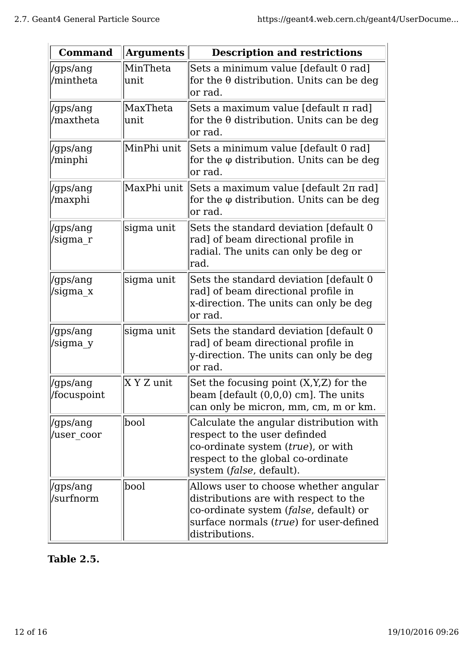| <b>Command</b>          | <b>Arguments</b> | <b>Description and restrictions</b>                                                                                                                                                     |
|-------------------------|------------------|-----------------------------------------------------------------------------------------------------------------------------------------------------------------------------------------|
| /gps/ang<br>/mintheta   | MinTheta<br>unit | Sets a minimum value [default 0 rad]<br>for the $\theta$ distribution. Units can be deg<br>or rad.                                                                                      |
| /gps/ang<br>/maxtheta   | MaxTheta<br>unit | Sets a maximum value [default π rad]<br>for the $\theta$ distribution. Units can be deg<br>or rad.                                                                                      |
| /gps/ang<br>/minphi     | MinPhi unit      | Sets a minimum value [default 0 rad]<br>for the $\varphi$ distribution. Units can be deg<br>or rad.                                                                                     |
| /gps/ang<br>/maxphi     |                  | MaxPhi unit  Sets a maximum value [default 2π rad]<br>for the φ distribution. Units can be deg<br>or rad.                                                                               |
| /gps/ang<br>/sigma r    | sigma unit       | Sets the standard deviation [default 0]<br>rad] of beam directional profile in<br>radial. The units can only be deg or<br> rad.                                                         |
| /gps/ang<br>/sigma x    | sigma unit       | Sets the standard deviation [default 0]<br>rad] of beam directional profile in<br>x-direction. The units can only be deg<br>or rad.                                                     |
| /gps/ang<br>/sigma y    | sigma unit       | Sets the standard deviation [default 0]<br>rad] of beam directional profile in<br>y-direction. The units can only be deg<br>or rad.                                                     |
| /gps/ang<br>/focuspoint | X Y Z unit       | Set the focusing point (X, Y, Z) for the<br>beam [default (0,0,0) cm]. The units<br>can only be micron, mm, cm, m or km.                                                                |
| /gps/ang<br>/user coor  | bool             | Calculate the angular distribution with<br>respect to the user definded<br>co-ordinate system (true), or with<br>respect to the global co-ordinate<br>system ( <i>false</i> , default). |
| /gps/ang<br>/surfnorm   | bool             | Allows user to choose whether angular<br>distributions are with respect to the<br>co-ordinate system (false, default) or<br>surface normals (true) for user-defined<br>distributions.   |

## **Table 2.5.**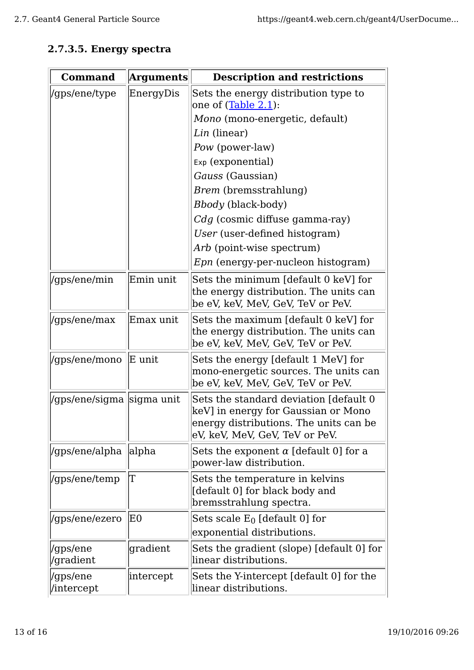### **2.7.3.5. Energy spectra**

| <b>Command</b>             | <b>Arguments</b> | <b>Description and restrictions</b>                                                                                                                       |
|----------------------------|------------------|-----------------------------------------------------------------------------------------------------------------------------------------------------------|
| /gps/ene/type              | EnergyDis        | Sets the energy distribution type to<br>one of (Table 2.1):<br>Mono (mono-energetic, default)<br>Lin (linear)                                             |
|                            |                  | Pow (power-law)                                                                                                                                           |
|                            |                  | Exp (exponential)                                                                                                                                         |
|                            |                  | Gauss (Gaussian)                                                                                                                                          |
|                            |                  | <i>Brem</i> (bremsstrahlung)                                                                                                                              |
|                            |                  | <i>Bbody</i> (black-body)                                                                                                                                 |
|                            |                  | Cdg (cosmic diffuse gamma-ray)                                                                                                                            |
|                            |                  | User (user-defined histogram)                                                                                                                             |
|                            |                  | Arb (point-wise spectrum)                                                                                                                                 |
|                            |                  | <i>Epn</i> (energy-per-nucleon histogram)                                                                                                                 |
| /gps/ene/min               | Emin unit        | Sets the minimum [default 0 keV] for<br>the energy distribution. The units can<br>be eV, keV, MeV, GeV, TeV or PeV.                                       |
| /gps/ene/max               | Emax unit        | Sets the maximum [default 0 keV] for<br>the energy distribution. The units can<br>be eV, keV, MeV, GeV, TeV or PeV.                                       |
| /gps/ene/mono              | E unit           | Sets the energy [default 1 MeV] for<br>mono-energetic sources. The units can<br>be eV, keV, MeV, GeV, TeV or PeV.                                         |
| /gps/ene/sigma  sigma unit |                  | Sets the standard deviation [default 0<br>keV] in energy for Gaussian or Mono<br>energy distributions. The units can be<br>eV, keV, MeV, GeV, TeV or PeV. |
| /gps/ene/alpha             | alpha            | Sets the exponent $\alpha$ [default 0] for a<br>power-law distribution.                                                                                   |
| /gps/ene/temp              | Τ                | Sets the temperature in kelvins<br>[default 0] for black body and<br>bremsstrahlung spectra.                                                              |
| /gps/ene/ezero             | ΙEΟ              | Sets scale $E_0$ [default 0] for                                                                                                                          |
|                            |                  | exponential distributions.                                                                                                                                |
| /gps/ene<br>/gradient      | gradient         | Sets the gradient (slope) [default 0] for<br>linear distributions.                                                                                        |
| /gps/ene<br>/intercept     | intercept        | Sets the Y-intercept [default 0] for the<br>linear distributions.                                                                                         |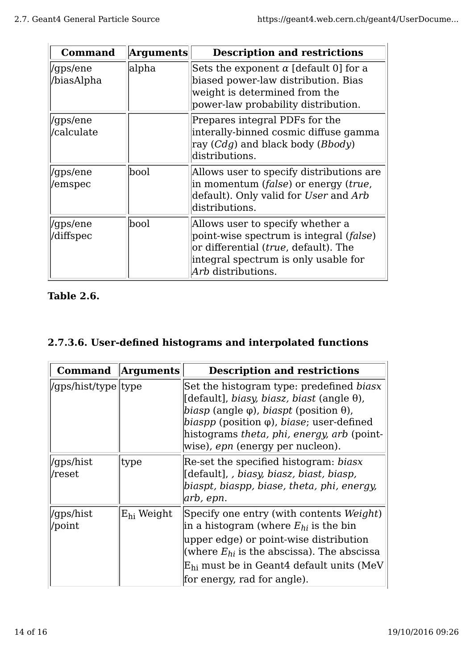| <b>Command</b>         | <b>Arguments</b> | <b>Description and restrictions</b>                                                                                                                                                                         |
|------------------------|------------------|-------------------------------------------------------------------------------------------------------------------------------------------------------------------------------------------------------------|
| /gps/ene<br>/biasAlpha | alpha            | Sets the exponent $\alpha$ [default 0] for a<br>biased power-law distribution. Bias<br>weight is determined from the<br>power-law probability distribution.                                                 |
| /gps/ene<br>/calculate |                  | Prepares integral PDFs for the<br>interally-binned cosmic diffuse gamma<br>ray $(Cdg)$ and black body ( <i>Bbody</i> )<br>distributions.                                                                    |
| /gps/ene<br>/emspec    | bool             | Allows user to specify distributions are<br>in momentum ( <i>false</i> ) or energy ( <i>true</i> ,<br>default). Only valid for User and Arb<br>distributions.                                               |
| /gps/ene<br>/diffspec  | bool             | Allows user to specify whether a<br>point-wise spectrum is integral ( <i>false</i> )<br>or differential ( <i>true</i> , default). The<br>integral spectrum is only usable for<br>A <i>rb</i> distributions. |

### **Table 2.6.**

### **2.7.3.6. User-defined histograms and interpolated functions**

| <b>Command</b>       | <b>Arguments</b>       | <b>Description and restrictions</b>                                                                                                                                                                                                                                                                                                    |
|----------------------|------------------------|----------------------------------------------------------------------------------------------------------------------------------------------------------------------------------------------------------------------------------------------------------------------------------------------------------------------------------------|
| /gps/hist/type  type |                        | Set the histogram type: predefined biasx<br>[default], biasy, biasz, biast (angle $\theta$ ),<br><i>biasp</i> (angle $\varphi$ ), <i>biaspt</i> (position $\theta$ ),<br>$\langle biaspp \rangle$ (position $\varphi$ ), <i>biase</i> ; user-defined<br>histograms theta, phi, energy, arb (point-<br>wise), epn (energy per nucleon). |
| 'gps/hist<br>/reset  | type                   | Re-set the specified histogram: biasx<br>[default], biasy, biasz, biast, biasp,<br>biaspt, biaspp, biase, theta, phi, energy,<br> arb, epn.                                                                                                                                                                                            |
| 'gps/hist<br>'point  | E <sub>hi</sub> Weight | Specify one entry (with contents Weight)<br>in a histogram (where $E_{hi}$ is the bin<br>upper edge) or point-wise distribution<br>(where $E_{hi}$ is the abscissa). The abscissa<br>$E_{hi}$ must be in Geant4 default units (MeV)<br>for energy, rad for angle).                                                                     |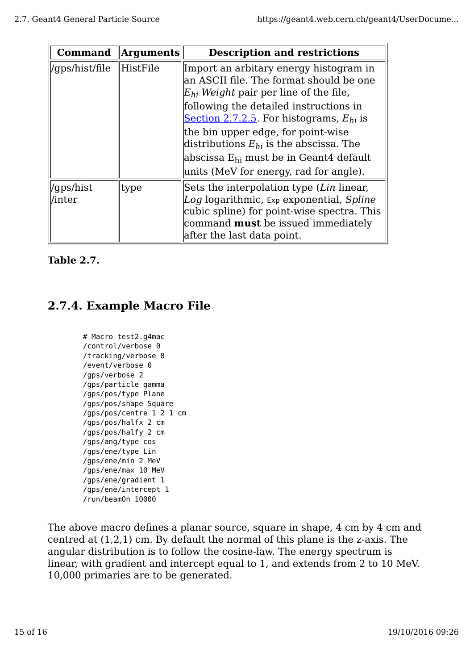| <b>Command</b>      | <b>Arguments</b> | <b>Description and restrictions</b>                                                                                                                                                                                                                                                                                                                                                                               |
|---------------------|------------------|-------------------------------------------------------------------------------------------------------------------------------------------------------------------------------------------------------------------------------------------------------------------------------------------------------------------------------------------------------------------------------------------------------------------|
| /gps/hist/file      | HistFile         | Import an arbitary energy histogram in<br>an ASCII file. The format should be one<br>$E_{hi}$ Weight pair per line of the file,<br>following the detailed instructions in<br>Section 2.7.2.5. For histograms, $E_{hi}$ is<br>the bin upper edge, for point-wise<br>distributions $E_{hi}$ is the abscissa. The<br>$\lambda$ abscissa $E_{hi}$ must be in Geant4 default<br>units (MeV for energy, rad for angle). |
| 'qps/hist<br>/inter | type             | Sets the interpolation type (Lin linear,<br>Log logarithmic, Exp exponential, Spline<br>cubic spline) for point-wise spectra. This<br>command <b>must</b> be issued immediately<br>after the last data point.                                                                                                                                                                                                     |

#### **Table 2.7.**

# **2.7.4. Example Macro File**

```
# Macro test2.g4mac
/control/verbose 0
/tracking/verbose 0
/event/verbose 0
/gps/verbose 2
/gps/particle gamma
/gps/pos/type Plane
/gps/pos/shape Square
/gps/pos/centre 1 2 1 cm
/gps/pos/halfx 2 cm
/gps/pos/halfy 2 cm
/gps/ang/type cos
/gps/ene/type Lin
/gps/ene/min 2 MeV
/gps/ene/max 10 MeV
/gps/ene/gradient 1
/gps/ene/intercept 1
/run/beamOn 10000
```
The above macro defines a planar source, square in shape, 4 cm by 4 cm and centred at (1,2,1) cm. By default the normal of this plane is the z-axis. The angular distribution is to follow the cosine-law. The energy spectrum is linear, with gradient and intercept equal to 1, and extends from 2 to 10 MeV. 10,000 primaries are to be generated.